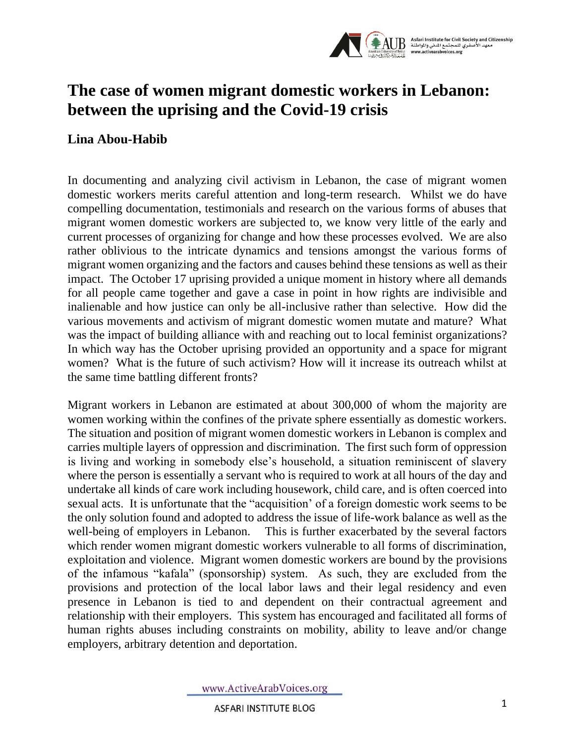

## **The case of women migrant domestic workers in Lebanon: between the uprising and the Covid-19 crisis**

## **Lina Abou-Habib**

In documenting and analyzing civil activism in Lebanon, the case of migrant women domestic workers merits careful attention and long-term research. Whilst we do have compelling documentation, testimonials and research on the various forms of abuses that migrant women domestic workers are subjected to, we know very little of the early and current processes of organizing for change and how these processes evolved. We are also rather oblivious to the intricate dynamics and tensions amongst the various forms of migrant women organizing and the factors and causes behind these tensions as well as their impact. The October 17 uprising provided a unique moment in history where all demands for all people came together and gave a case in point in how rights are indivisible and inalienable and how justice can only be all-inclusive rather than selective. How did the various movements and activism of migrant domestic women mutate and mature? What was the impact of building alliance with and reaching out to local feminist organizations? In which way has the October uprising provided an opportunity and a space for migrant women? What is the future of such activism? How will it increase its outreach whilst at the same time battling different fronts?

Migrant workers in Lebanon are estimated at about 300,000 of whom the majority are women working within the confines of the private sphere essentially as domestic workers. The situation and position of migrant women domestic workers in Lebanon is complex and carries multiple layers of oppression and discrimination. The first such form of oppression is living and working in somebody else's household, a situation reminiscent of slavery where the person is essentially a servant who is required to work at all hours of the day and undertake all kinds of care work including housework, child care, and is often coerced into sexual acts. It is unfortunate that the "acquisition' of a foreign domestic work seems to be the only solution found and adopted to address the issue of life-work balance as well as the well-being of employers in Lebanon. This is further exacerbated by the several factors which render women migrant domestic workers vulnerable to all forms of discrimination, exploitation and violence. Migrant women domestic workers are bound by the provisions of the infamous "kafala" (sponsorship) system. As such, they are excluded from the provisions and protection of the local labor laws and their legal residency and even presence in Lebanon is tied to and dependent on their contractual agreement and relationship with their employers. This system has encouraged and facilitated all forms of human rights abuses including constraints on mobility, ability to leave and/or change employers, arbitrary detention and deportation.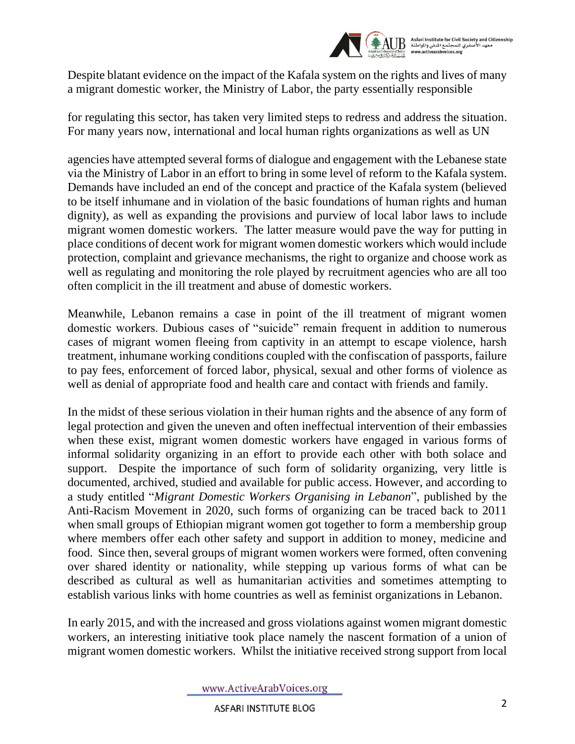

Despite blatant evidence on the impact of the Kafala system on the rights and lives of many a migrant domestic worker, the Ministry of Labor, the party essentially responsible

for regulating this sector, has taken very limited steps to redress and address the situation. For many years now, international and local human rights organizations as well as UN

agencies have attempted several forms of dialogue and engagement with the Lebanese state via the Ministry of Labor in an effort to bring in some level of reform to the Kafala system. Demands have included an end of the concept and practice of the Kafala system (believed to be itself inhumane and in violation of the basic foundations of human rights and human dignity), as well as expanding the provisions and purview of local labor laws to include migrant women domestic workers. The latter measure would pave the way for putting in place conditions of decent work for migrant women domestic workers which would include protection, complaint and grievance mechanisms, the right to organize and choose work as well as regulating and monitoring the role played by recruitment agencies who are all too often complicit in the ill treatment and abuse of domestic workers.

Meanwhile, Lebanon remains a case in point of the ill treatment of migrant women domestic workers. Dubious cases of "suicide" remain frequent in addition to numerous cases of migrant women fleeing from captivity in an attempt to escape violence, harsh treatment, inhumane working conditions coupled with the confiscation of passports, failure to pay fees, enforcement of forced labor, physical, sexual and other forms of violence as well as denial of appropriate food and health care and contact with friends and family.

In the midst of these serious violation in their human rights and the absence of any form of legal protection and given the uneven and often ineffectual intervention of their embassies when these exist, migrant women domestic workers have engaged in various forms of informal solidarity organizing in an effort to provide each other with both solace and support. Despite the importance of such form of solidarity organizing, very little is documented, archived, studied and available for public access. However, and according to a study entitled "*Migrant Domestic Workers Organising in Lebanon*", published by the Anti-Racism Movement in 2020, such forms of organizing can be traced back to 2011 when small groups of Ethiopian migrant women got together to form a membership group where members offer each other safety and support in addition to money, medicine and food. Since then, several groups of migrant women workers were formed, often convening over shared identity or nationality, while stepping up various forms of what can be described as cultural as well as humanitarian activities and sometimes attempting to establish various links with home countries as well as feminist organizations in Lebanon.

In early 2015, and with the increased and gross violations against women migrant domestic workers, an interesting initiative took place namely the nascent formation of a union of migrant women domestic workers. Whilst the initiative received strong support from local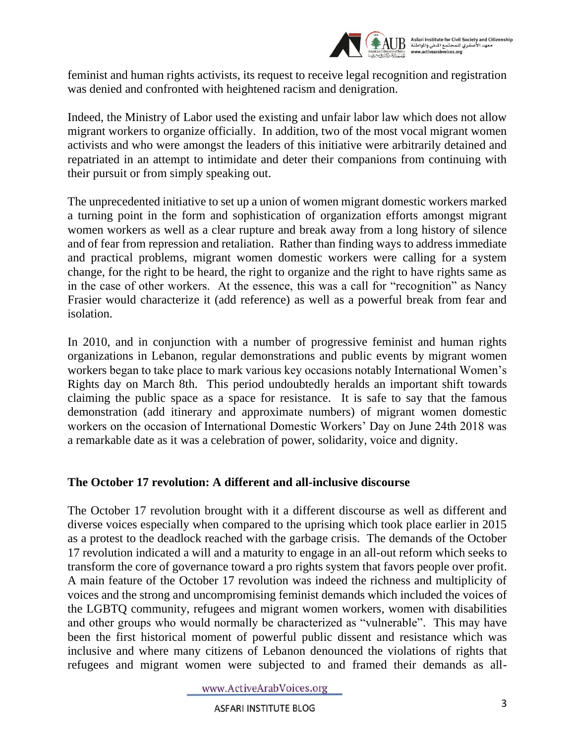

feminist and human rights activists, its request to receive legal recognition and registration was denied and confronted with heightened racism and denigration.

Indeed, the Ministry of Labor used the existing and unfair labor law which does not allow migrant workers to organize officially. In addition, two of the most vocal migrant women activists and who were amongst the leaders of this initiative were arbitrarily detained and repatriated in an attempt to intimidate and deter their companions from continuing with their pursuit or from simply speaking out.

The unprecedented initiative to set up a union of women migrant domestic workers marked a turning point in the form and sophistication of organization efforts amongst migrant women workers as well as a clear rupture and break away from a long history of silence and of fear from repression and retaliation. Rather than finding ways to address immediate and practical problems, migrant women domestic workers were calling for a system change, for the right to be heard, the right to organize and the right to have rights same as in the case of other workers. At the essence, this was a call for "recognition" as Nancy Frasier would characterize it (add reference) as well as a powerful break from fear and isolation.

In 2010, and in conjunction with a number of progressive feminist and human rights organizations in Lebanon, regular demonstrations and public events by migrant women workers began to take place to mark various key occasions notably International Women's Rights day on March 8th. This period undoubtedly heralds an important shift towards claiming the public space as a space for resistance. It is safe to say that the famous demonstration (add itinerary and approximate numbers) of migrant women domestic workers on the occasion of International Domestic Workers' Day on June 24th 2018 was a remarkable date as it was a celebration of power, solidarity, voice and dignity.

## **The October 17 revolution: A different and all-inclusive discourse**

The October 17 revolution brought with it a different discourse as well as different and diverse voices especially when compared to the uprising which took place earlier in 2015 as a protest to the deadlock reached with the garbage crisis. The demands of the October 17 revolution indicated a will and a maturity to engage in an all-out reform which seeks to transform the core of governance toward a pro rights system that favors people over profit. A main feature of the October 17 revolution was indeed the richness and multiplicity of voices and the strong and uncompromising feminist demands which included the voices of the LGBTQ community, refugees and migrant women workers, women with disabilities and other groups who would normally be characterized as "vulnerable". This may have been the first historical moment of powerful public dissent and resistance which was inclusive and where many citizens of Lebanon denounced the violations of rights that refugees and migrant women were subjected to and framed their demands as all-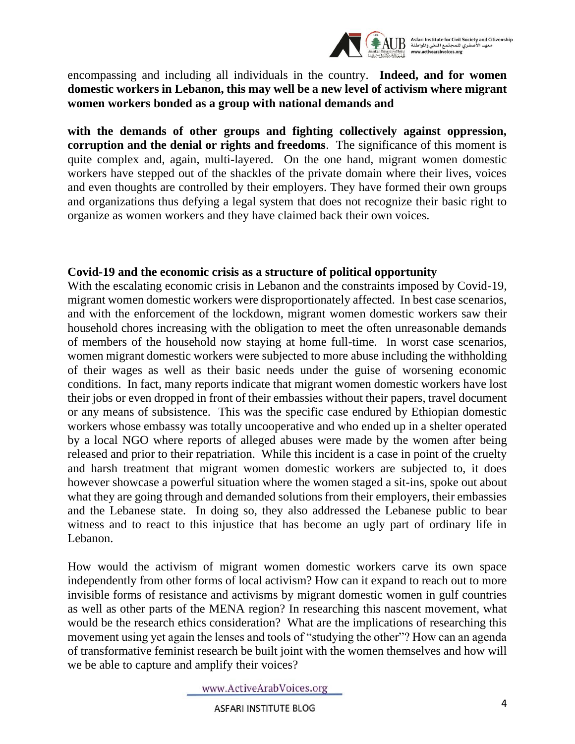

encompassing and including all individuals in the country. **Indeed, and for women domestic workers in Lebanon, this may well be a new level of activism where migrant women workers bonded as a group with national demands and** 

**with the demands of other groups and fighting collectively against oppression, corruption and the denial or rights and freedoms**. The significance of this moment is quite complex and, again, multi-layered. On the one hand, migrant women domestic workers have stepped out of the shackles of the private domain where their lives, voices and even thoughts are controlled by their employers. They have formed their own groups and organizations thus defying a legal system that does not recognize their basic right to organize as women workers and they have claimed back their own voices.

## **Covid-19 and the economic crisis as a structure of political opportunity**

With the escalating economic crisis in Lebanon and the constraints imposed by Covid-19, migrant women domestic workers were disproportionately affected. In best case scenarios, and with the enforcement of the lockdown, migrant women domestic workers saw their household chores increasing with the obligation to meet the often unreasonable demands of members of the household now staying at home full-time. In worst case scenarios, women migrant domestic workers were subjected to more abuse including the withholding of their wages as well as their basic needs under the guise of worsening economic conditions. In fact, many reports indicate that migrant women domestic workers have lost their jobs or even dropped in front of their embassies without their papers, travel document or any means of subsistence. This was the specific case endured by Ethiopian domestic workers whose embassy was totally uncooperative and who ended up in a shelter operated by a local NGO where reports of alleged abuses were made by the women after being released and prior to their repatriation. While this incident is a case in point of the cruelty and harsh treatment that migrant women domestic workers are subjected to, it does however showcase a powerful situation where the women staged a sit-ins, spoke out about what they are going through and demanded solutions from their employers, their embassies and the Lebanese state. In doing so, they also addressed the Lebanese public to bear witness and to react to this injustice that has become an ugly part of ordinary life in Lebanon.

How would the activism of migrant women domestic workers carve its own space independently from other forms of local activism? How can it expand to reach out to more invisible forms of resistance and activisms by migrant domestic women in gulf countries as well as other parts of the MENA region? In researching this nascent movement, what would be the research ethics consideration? What are the implications of researching this movement using yet again the lenses and tools of "studying the other"? How can an agenda of transformative feminist research be built joint with the women themselves and how will we be able to capture and amplify their voices?